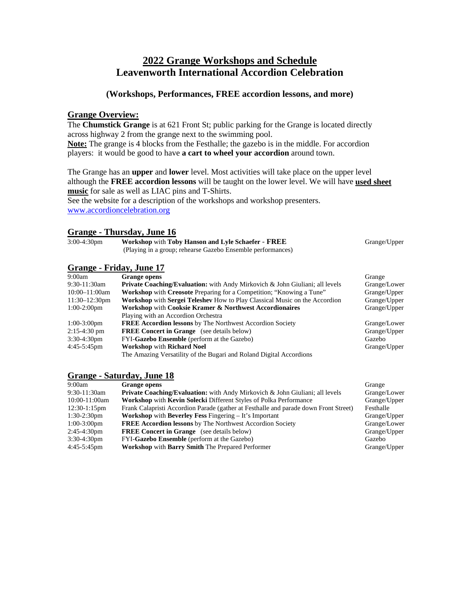# **2022 Grange Workshops and Schedule Leavenworth International Accordion Celebration**

## **(Workshops, Performances, FREE accordion lessons, and more)**

## **Grange Overview:**

The **Chumstick Grange** is at 621 Front St; public parking for the Grange is located directly across highway 2 from the grange next to the swimming pool. **Note:** The grange is 4 blocks from the Festhalle; the gazebo is in the middle. For accordion

players: it would be good to have **a cart to wheel your accordion** around town.

The Grange has an **upper** and **lower** level. Most activities will take place on the upper level although the **FREE accordion lessons** will be taught on the lower level. We will have **used sheet music** for sale as well as LIAC pins and T-Shirts.

See the website for a description of the workshops and workshop presenters. [www.accordioncelebration.org](http://www.accordioncelebration.org/)

## **Grange - Thursday, June 16**

| $3:00-4:30$ pm | <b>Workshop with Toby Hanson and Lyle Schaefer - FREE</b>   | Grange/Upper |
|----------------|-------------------------------------------------------------|--------------|
|                | (Playing in a group; rehearse Gazebo Ensemble performances) |              |

## **Grange - Friday, June 17**

| 9:00am           | <b>Grange opens</b>                                                                      | Grange       |
|------------------|------------------------------------------------------------------------------------------|--------------|
| 9:30-11:30am     | <b>Private Coaching/Evaluation:</b> with Andy Mirkovich & John Giuliani; all levels      | Grange/Lower |
| $10:00-11:00am$  | <b>Workshop</b> with <b>Creosote</b> Preparing for a Competition; "Knowing a Tune"       | Grange/Upper |
| $11:30-12:30$ pm | <b>Workshop</b> with <b>Sergei Teleshev</b> How to Play Classical Music on the Accordion | Grange/Upper |
| $1:00-2:00$ pm   | Workshop with Cooksie Kramer & Northwest Accordionaires                                  | Grange/Upper |
|                  | Playing with an Accordion Orchestra                                                      |              |
| $1:00-3:00$ pm   | <b>FREE Accordion lessons</b> by The Northwest Accordion Society                         | Grange/Lower |
| $2:15-4:30$ pm   | <b>FREE Concert in Grange</b> (see details below)                                        | Grange/Upper |
| $3:30-4:30$ pm   | FYI-Gazebo Ensemble (perform at the Gazebo)                                              | Gazebo       |
| $4:45-5:45$ pm   | <b>Workshop with Richard Noel</b>                                                        | Grange/Upper |
|                  | The Amazing Versatility of the Bugari and Roland Digital Accordions                      |              |

## **Grange - Saturday, June 18**

| 9:00am          | <b>Grange opens</b>                                                                  | Grange       |
|-----------------|--------------------------------------------------------------------------------------|--------------|
| 9:30-11:30am    | <b>Private Coaching/Evaluation:</b> with Andy Mirkovich & John Giuliani; all levels  | Grange/Lower |
| 10:00-11:00am   | <b>Workshop with Kevin Solecki Different Styles of Polka Performance</b>             | Grange/Upper |
| $12:30-1:15$ pm | Frank Calapristi Accordion Parade (gather at Festhalle and parade down Front Street) | Festhalle    |
| $1:30-2:30$ pm  | <b>Workshop</b> with <b>Beverley Fess</b> Fingering – It's Important                 | Grange/Upper |
| $1:00-3:00$ pm  | <b>FREE Accordion lessons</b> by The Northwest Accordion Society                     | Grange/Lower |
| $2:45-4:30$ pm  | <b>FREE Concert in Grange</b> (see details below)                                    | Grange/Upper |
| $3:30-4:30$ pm  | FYI-Gazebo Ensemble (perform at the Gazebo)                                          | Gazebo       |
| 4:45-5:45pm     | <b>Workshop with Barry Smith The Prepared Performer</b>                              | Grange/Upper |